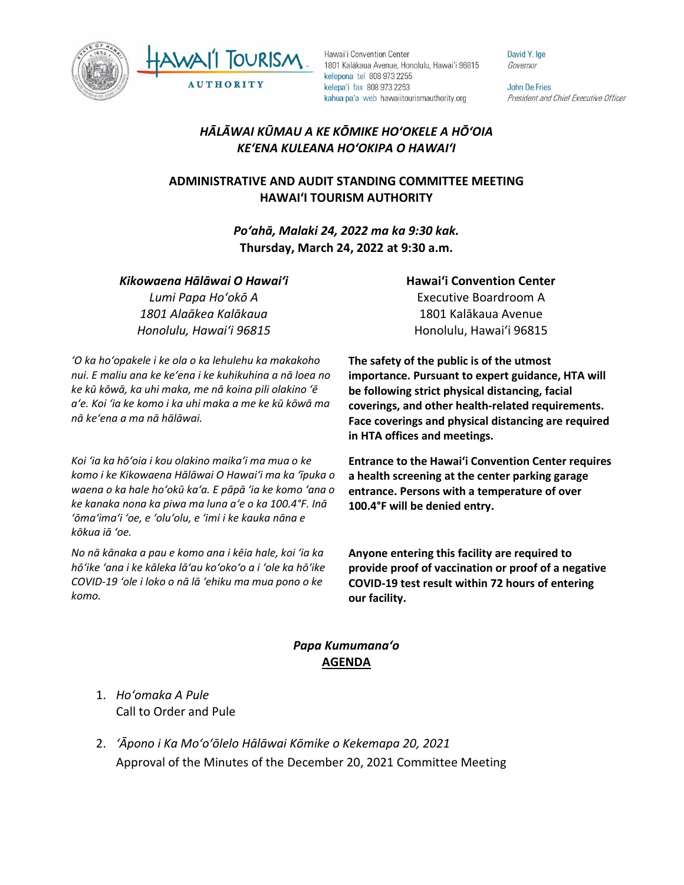



David Y. Ige Governor

**John De Fries** President and Chief Executive Officer

# *HĀLĀWAI KŪMAU A KE KŌMIKE HOʻOKELE A HŌʻOIA KEʻENA KULEANA HOʻOKIPA O HAWAIʻI*

## **ADMINISTRATIVE AND AUDIT STANDING COMMITTEE MEETING HAWAI'I TOURISM AUTHORITY**

*Poʻahā, Malaki 24, 2022 ma ka 9:30 kak.* **Thursday, March 24, 2022 at 9:30 a.m.**

#### *Kikowaena Hālāwai O Hawaiʻi*

*Lumi Papa Hoʻokō A 1801 Alaākea Kalākaua Honolulu, Hawaiʻi 96815*

*ʻO ka hoʻopakele i ke ola o ka lehulehu ka makakoho nui. E maliu ana ke keʻena i ke kuhikuhina a nā loea no ke kū kōwā, ka uhi maka, me nā koina pili olakino ʻē aʻe. Koi ʻia ke komo i ka uhi maka a me ke kū kōwā ma nā keʻena a ma nā hālāwai.*

*Koi ʻia ka hōʻoia i kou olakino maikaʻi ma mua o ke komo i ke Kikowaena Hālāwai O Hawaiʻi ma ka ʻīpuka o waena o ka hale hoʻokū kaʻa. E pāpā ʻia ke komo ʻana o ke kanaka nona ka piwa ma luna aʻe o ka 100.4°F. Inā ʻōmaʻimaʻi ʻoe, e ʻoluʻolu, e ʻimi i ke kauka nāna e kōkua iā ʻoe.* 

*No nā kānaka a pau e komo ana i kēia hale, koi ʻia ka hōʻike ʻana i ke kāleka lāʻau koʻokoʻo a i ʻole ka hōʻike COVID-19 ʻole i loko o nā lā ʻehiku ma mua pono o ke komo.*

## **Hawaiʻi Convention Center** Executive Boardroom A 1801 Kalākaua Avenue Honolulu, Hawaiʻi 96815

**The safety of the public is of the utmost importance. Pursuant to expert guidance, HTA will be following strict physical distancing, facial coverings, and other health-related requirements. Face coverings and physical distancing are required in HTA offices and meetings.** 

**Entrance to the Hawaiʻi Convention Center requires a health screening at the center parking garage entrance. Persons with a temperature of over 100.4°F will be denied entry.** 

**Anyone entering this facility are required to provide proof of vaccination or proof of a negative COVID-19 test result within 72 hours of entering our facility.**

### *Papa Kumumanaʻo* **AGENDA**

- 1. *Hoʻomaka A Pule* Call to Order and Pule
- 2. *ʻĀpono i Ka Moʻoʻōlelo Hālāwai Kōmike o Kekemapa 20, 2021* Approval of the Minutes of the December 20, 2021 Committee Meeting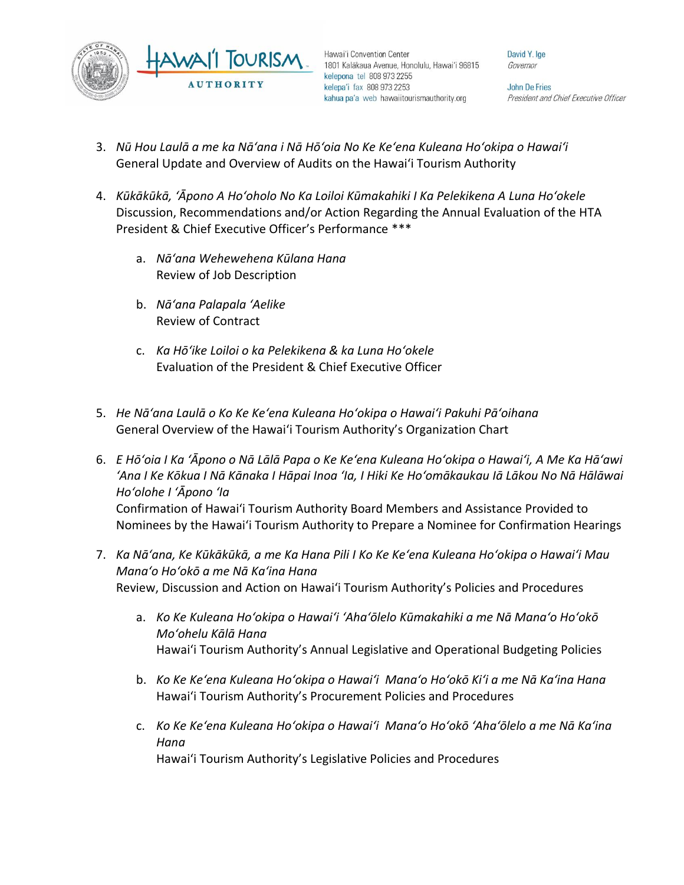

David Y. Ige Governor

**John De Fries** President and Chief Executive Officer

- 3. *Nū Hou Laulā a me ka Nāʻana i Nā Hōʻoia No Ke Keʻena Kuleana Hoʻokipa o Hawaiʻi* General Update and Overview of Audits on the Hawai'i Tourism Authority
- 4. *Kūkākūkā, ʻĀpono A Hoʻoholo No Ka Loiloi Kūmakahiki I Ka Pelekikena A Luna Hoʻokele* Discussion, Recommendations and/or Action Regarding the Annual Evaluation of the HTA President & Chief Executive Officer's Performance \*\*\*
	- a. *Nāʻana Wehewehena Kūlana Hana* Review of Job Description
	- b. *Nāʻana Palapala ʻAelike* Review of Contract
	- c. *Ka Hōʻike Loiloi o ka Pelekikena & ka Luna Hoʻokele* Evaluation of the President & Chief Executive Officer
- 5. *He Nāʻana Laulā o Ko Ke Keʻena Kuleana Hoʻokipa o Hawaiʻi Pakuhi Pāʻoihana* General Overview of the Hawai'i Tourism Authority's Organization Chart
- 6. *E Hōʻoia I Ka ʻĀpono o Nā Lālā Papa o Ke Keʻena Kuleana Hoʻokipa o Hawaiʻi, A Me Ka Hāʻawi ʻAna I Ke Kōkua I Nā Kānaka I Hāpai Inoa ʻIa, I Hiki Ke Hoʻomākaukau Iā Lākou No Nā Hālāwai Hoʻolohe I ʻĀpono ʻIa* Confirmation of Hawai'i Tourism Authority Board Members and Assistance Provided to Nominees by the Hawai'i Tourism Authority to Prepare a Nominee for Confirmation Hearings
- 7. *Ka Nāʻana, Ke Kūkākūkā, a me Ka Hana Pili I Ko Ke Keʻena Kuleana Hoʻokipa o Hawaiʻi Mau Manaʻo Hoʻokō a me Nā Kaʻina Hana* Review, Discussion and Action on Hawai'i Tourism Authority's Policies and Procedures
	- a. *Ko Ke Kuleana Hoʻokipa o Hawaiʻi ʻAhaʻōlelo Kūmakahiki a me Nā Manaʻo Hoʻokō Moʻohelu Kālā Hana* Hawai'i Tourism Authority's Annual Legislative and Operational Budgeting Policies
	- b. *Ko Ke Keʻena Kuleana Hoʻokipa o Hawaiʻi Manaʻo Hoʻokō Kiʻi a me Nā Kaʻina Hana* Hawai'i Tourism Authority's Procurement Policies and Procedures
	- c. *Ko Ke Keʻena Kuleana Hoʻokipa o Hawaiʻi Manaʻo Hoʻokō ʻAhaʻōlelo a me Nā Kaʻina Hana* Hawai'i Tourism Authority's Legislative Policies and Procedures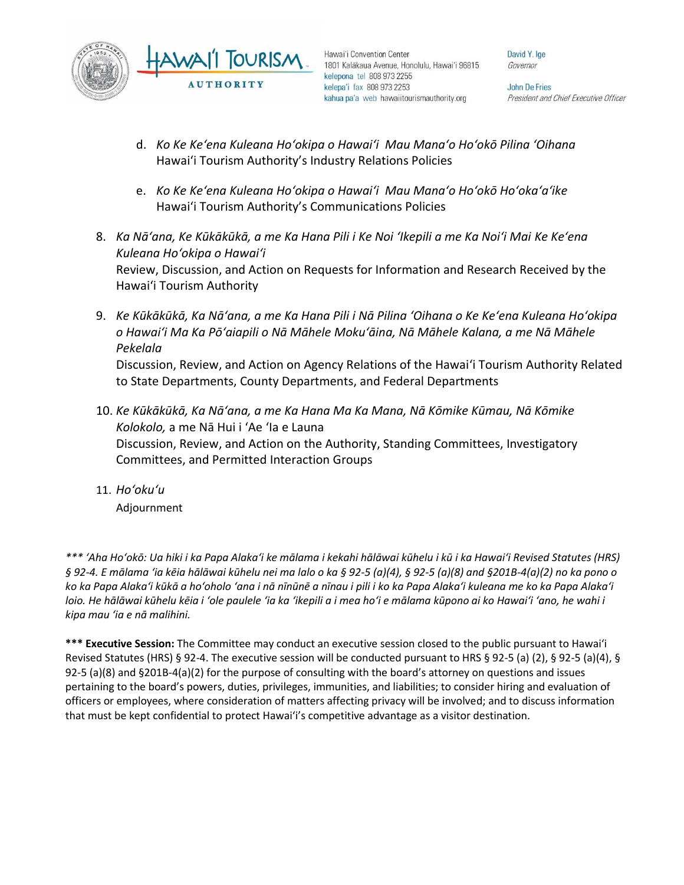

David Y. Ige Governor

John De Fries President and Chief Executive Officer

- d. *Ko Ke Keʻena Kuleana Hoʻokipa o Hawaiʻi Mau Manaʻo Hoʻokō Pilina ʻOihana*  Hawai'i Tourism Authority's Industry Relations Policies
- e. *Ko Ke Keʻena Kuleana Hoʻokipa o Hawaiʻi Mau Manaʻo Hoʻokō Hoʻokaʻaʻike* Hawai'i Tourism Authority's Communications Policies
- 8. *Ka Nāʻana, Ke Kūkākūkā, a me Ka Hana Pili i Ke Noi ʻIkepili a me Ka Noiʻi Mai Ke Keʻena Kuleana Hoʻokipa o Hawaiʻi* Review, Discussion, and Action on Requests for Information and Research Received by the Hawai'i Tourism Authority
- 9. *Ke Kūkākūkā, Ka Nāʻana, a me Ka Hana Pili i Nā Pilina ʻOihana o Ke Keʻena Kuleana Hoʻokipa o Hawaiʻi Ma Ka Pōʻaiapili o Nā Māhele Mokuʻāina, Nā Māhele Kalana, a me Nā Māhele Pekelala*

Discussion, Review, and Action on Agency Relations of the Hawai'i Tourism Authority Related to State Departments, County Departments, and Federal Departments

- 10. *Ke Kūkākūkā, Ka Nāʻana, a me Ka Hana Ma Ka Mana, Nā Kōmike Kūmau, Nā Kōmike Kolokolo,* a me Nā Hui i ʻAe ʻIa e Launa Discussion, Review, and Action on the Authority, Standing Committees, Investigatory Committees, and Permitted Interaction Groups
- 11. *Hoʻokuʻu*

Adjournment

*\*\*\* ʻAha Hoʻokō: Ua hiki i ka Papa Alakaʻi ke mālama i kekahi hālāwai kūhelu i kū i ka Hawaiʻi Revised Statutes (HRS) § 92-4. E mālama ʻia kēia hālāwai kūhelu nei ma lalo o ka § 92-5 (a)(4), § 92-5 (a)(8) and §201B-4(a)(2) no ka pono o ko ka Papa Alakaʻi kūkā a hoʻoholo ʻana i nā nīnūnē a nīnau i pili i ko ka Papa Alakaʻi kuleana me ko ka Papa Alakaʻi loio. He hālāwai kūhelu kēia i ʻole paulele ʻia ka ʻikepili a i mea hoʻi e mālama kūpono ai ko Hawaiʻi ʻano, he wahi i kipa mau ʻia e nā malihini.*

**\*\*\* Executive Session:** The Committee may conduct an executive session closed to the public pursuant to Hawai'i Revised Statutes (HRS) § 92-4. The executive session will be conducted pursuant to HRS § 92-5 (a) (2), § 92-5 (a)(4), § 92-5 (a)(8) and §201B-4(a)(2) for the purpose of consulting with the board's attorney on questions and issues pertaining to the board's powers, duties, privileges, immunities, and liabilities; to consider hiring and evaluation of officers or employees, where consideration of matters affecting privacy will be involved; and to discuss information that must be kept confidential to protect Hawai'i's competitive advantage as a visitor destination.